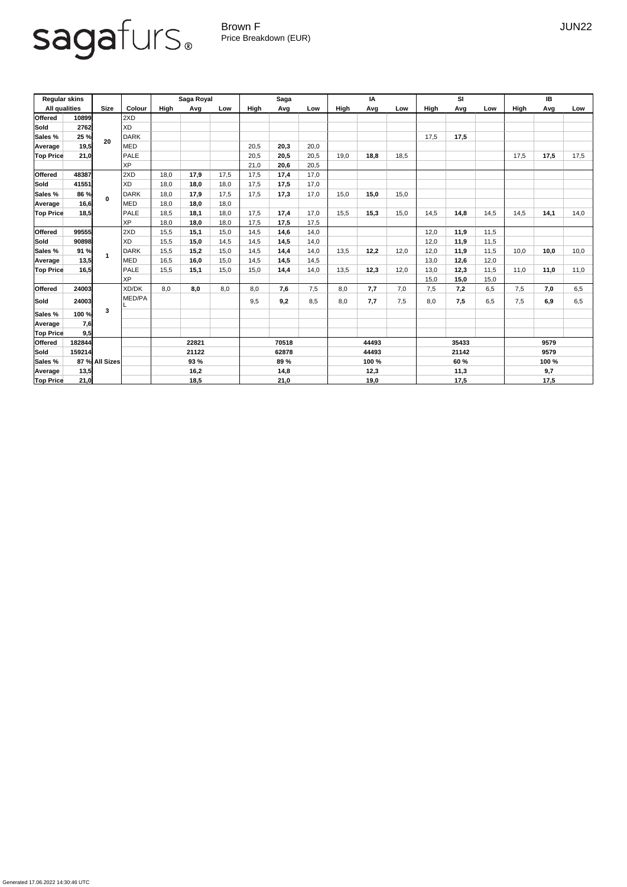Generated 17.06.2022 14:30:46 UTC

## sagafurs.

Brown F JUN22 Price Breakdown (EUR)

| <b>Regular skins</b> |              |                |               | Saga Royal  |      |      | <b>Saga</b>   |      |      | IA             |      |      | SI                    |      |      | IB                   |      |      |
|----------------------|--------------|----------------|---------------|-------------|------|------|---------------|------|------|----------------|------|------|-----------------------|------|------|----------------------|------|------|
| <b>All qualities</b> |              | <b>Size</b>    | <b>Colour</b> | <b>High</b> | Avg  | Low  | High          | Avg  | Low  | <b>High</b>    | Avg  | Low  | <b>High</b>           | Avg  | Low  | <b>High</b>          | Avg  | Low  |
| <b>Offered</b>       | 10899        |                | 2XD           |             |      |      |               |      |      |                |      |      |                       |      |      |                      |      |      |
| Sold                 | 2762         | 20             | <b>XD</b>     |             |      |      |               |      |      |                |      |      |                       |      |      |                      |      |      |
| <b>Sales %</b>       | 25 %<br>19,5 |                | <b>DARK</b>   |             |      |      |               |      |      |                |      |      | 17,5                  | 17,5 |      |                      |      |      |
| Average              |              |                | <b>MED</b>    |             |      |      | 20,5          | 20,3 | 20,0 |                |      |      |                       |      |      |                      |      |      |
| <b>Top Price</b>     | 21,0         |                | PALE          |             |      |      | 20,5          | 20,5 | 20,5 | 19,0           | 18,8 | 18,5 |                       |      |      | 17,5                 | 17,5 | 17,5 |
|                      |              |                | <b>XP</b>     |             |      |      | 21,0          | 20,6 | 20,5 |                |      |      |                       |      |      |                      |      |      |
| <b>Offered</b>       | 48387        |                | 2XD           | 18,0        | 17,9 | 17,5 | 17,5          | 17,4 | 17,0 |                |      |      |                       |      |      |                      |      |      |
| Sold                 | 41551        | $\bf{0}$       | <b>XD</b>     | 18,0        | 18,0 | 18,0 | 17,5          | 17,5 | 17,0 |                |      |      |                       |      |      |                      |      |      |
| <b>Sales %</b>       | 86 %         |                | DARK          | 18,0        | 17,9 | 17,5 | 17,5          | 17,3 | 17,0 | 15,0           | 15,0 | 15,0 |                       |      |      |                      |      |      |
| Average              | 16,6         |                | <b>MED</b>    | 18,0        | 18,0 | 18,0 |               |      |      |                |      |      |                       |      |      |                      |      |      |
| <b>Top Price</b>     | 18,5         |                | PALE          | 18,5        | 18,1 | 18,0 | 17,5          | 17,4 | 17,0 | 15,5           | 15,3 | 15,0 | 14,5                  | 14,8 | 14,5 | 14,5                 | 14,1 | 14,0 |
|                      |              |                | <b>XP</b>     | 18,0        | 18,0 | 18,0 | 17,5          | 17,5 | 17,5 |                |      |      |                       |      |      |                      |      |      |
| <b>Offered</b>       | 99555        |                | 2XD           | 15,5        | 15,1 | 15,0 | 14,5          | 14,6 | 14,0 |                |      |      | 12,0                  | 11,9 | 11,5 |                      |      |      |
| Sold                 | 90898        |                | <b>XD</b>     | 15,5        | 15,0 | 14,5 | 14,5          | 14,5 | 14,0 |                |      |      | 12,0                  | 11,9 | 11,5 |                      |      |      |
| <b>Sales %</b>       | 91 %         |                | <b>DARK</b>   | 15,5        | 15,2 | 15,0 | 14,5          | 14,4 | 14,0 | 13,5           | 12,2 | 12,0 | 12,0                  | 11,9 | 11,5 | 10,0                 | 10,0 | 10,0 |
| Average              | 13,5         |                | <b>MED</b>    | 16,5        | 16,0 | 15,0 | 14,5          | 14,5 | 14,5 |                |      |      | 13,0                  | 12,6 | 12,0 |                      |      |      |
| <b>Top Price</b>     | 16,5         |                | PALE          | 15,5        | 15,1 | 15,0 | 15,0          | 14,4 | 14,0 | 13,5           | 12,3 | 12,0 | 13,0                  | 12,3 | 11,5 | 11,0                 | 11,0 | 11,0 |
|                      |              |                | <b>XP</b>     |             |      |      |               |      |      |                |      |      | 15,0                  | 15,0 | 15,0 |                      |      |      |
| <b>Offered</b>       | 24003        |                | XD/DK         | 8,0         | 8,0  | 8,0  | 8,0           | 7,6  | 7,5  | 8,0            | 7,7  | 7,0  | 7,5                   | 7,2  | 6,5  | 7,5                  | 7,0  | 6,5  |
| Sold                 | 24003        |                | MED/PA        |             |      |      | 9,5           | 9,2  | 8,5  | 8,0            | 7,7  | 7,5  | 8,0                   | 7,5  | 6,5  | 7,5                  | 6,9  | 6,5  |
| Sales %              | 100 %        | 3              |               |             |      |      |               |      |      |                |      |      |                       |      |      |                      |      |      |
| Average              | 7,6          |                |               |             |      |      |               |      |      |                |      |      |                       |      |      |                      |      |      |
| <b>Top Price</b>     | 9,5          |                |               |             |      |      |               |      |      |                |      |      |                       |      |      |                      |      |      |
| <b>Offered</b>       | 182844       |                |               | 22821       |      |      | 70518         |      |      | 44493          |      |      | 35433                 |      |      | 9579                 |      |      |
| Sold                 | 159214       |                |               | 21122       |      |      | 62878<br>89 % |      |      | 44493<br>100 % |      |      | 21142<br>60 %<br>11,3 |      |      | 9579<br>100 %<br>9,7 |      |      |
| <b>Sales %</b>       |              | 87 % All Sizes |               | <b>93 %</b> |      |      |               |      |      |                |      |      |                       |      |      |                      |      |      |
| Average              | 13,5         |                |               | 16,2        |      |      | 14,8          |      | 12,3 |                |      |      |                       |      |      |                      |      |      |
| <b>Top Price</b>     | 21,0         |                |               | 18,5        |      |      | 21,0          |      | 19,0 |                |      | 17,5 |                       |      | 17,5 |                      |      |      |